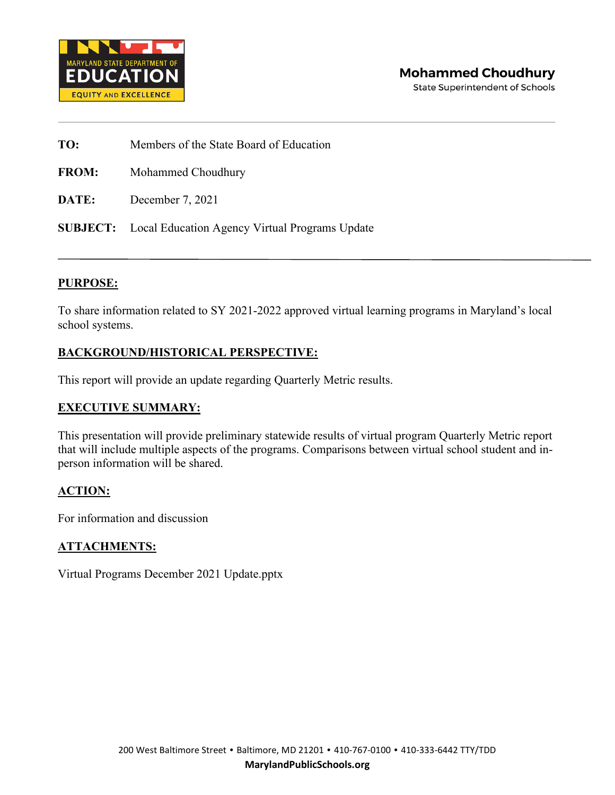

**TO:** Members of the State Board of Education

**FROM:** Mohammed Choudhury

**DATE:** December 7, 2021

**SUBJECT:** Local Education Agency Virtual Programs Update

#### **PURPOSE:**

To share information related to SY 2021-2022 approved virtual learning programs in Maryland's local school systems.

#### **BACKGROUND/HISTORICAL PERSPECTIVE:**

This report will provide an update regarding Quarterly Metric results.

#### **EXECUTIVE SUMMARY:**

This presentation will provide preliminary statewide results of virtual program Quarterly Metric report that will include multiple aspects of the programs. Comparisons between virtual school student and inperson information will be shared.

#### **ACTION:**

For information and discussion

#### **ATTACHMENTS:**

Virtual Programs December 2021 Update.pptx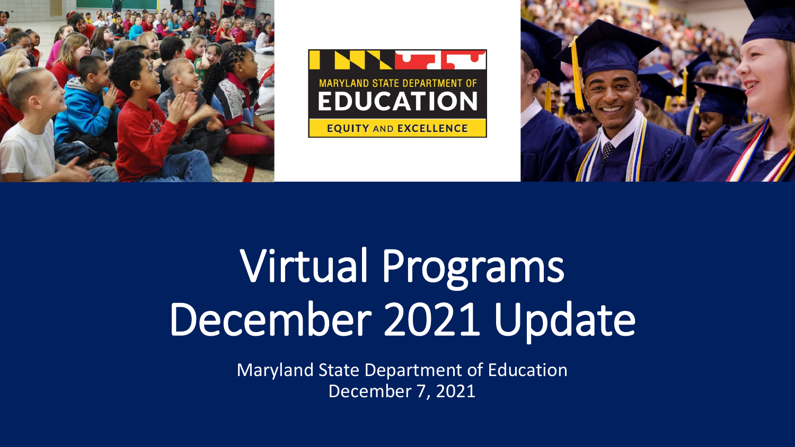





# Virtual Programs December 2021 Update

Maryland State Department of Education December 7, 2021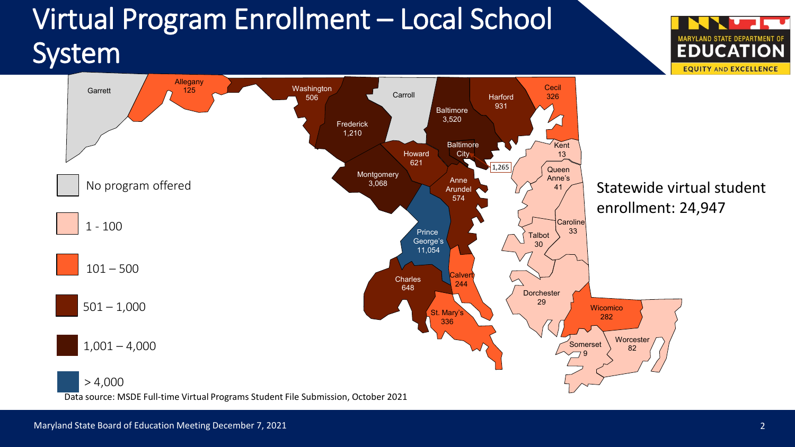### Virtual Program Enrollment – Local School System



YLAND STATE DEPARTMENT OI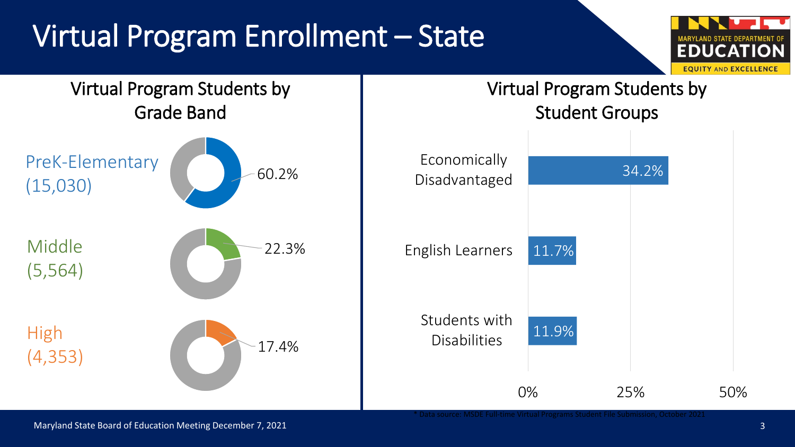# Virtual Program Enrollment – State





Maryland State Board of Education Meeting December 7, 2021 38 and 2012 12:00 13:00 13:00 13:00 13:00 13:00 13:00 13:00 13:00 13:00 13:00 13:00 13:00 13:00 13:00 13:00 13:00 13:00 13:00 13:00 13:00 13:00 13:00 13:00 13:00 1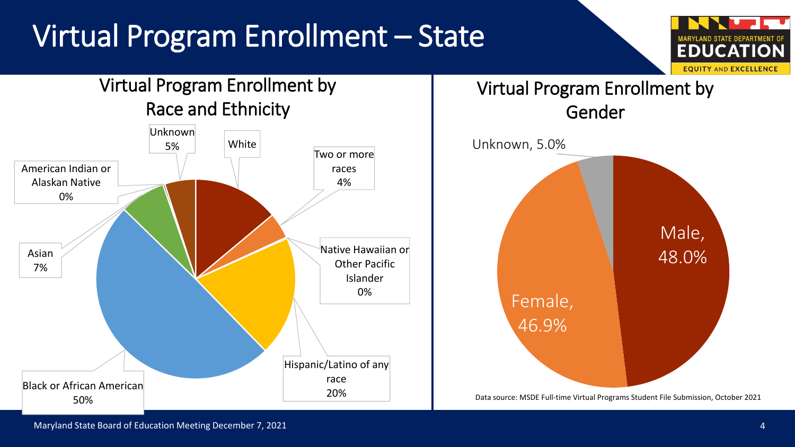# Virtual Program Enrollment – State







Data source: MSDE Full-time Virtual Programs Student File Submission, October 2021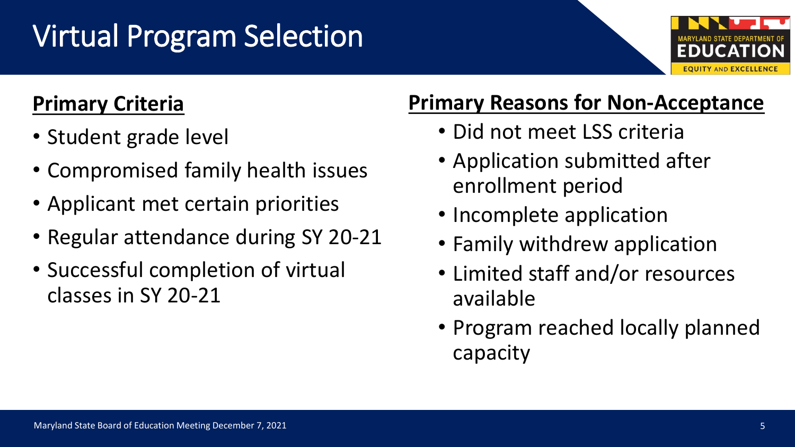# Virtual Program Selection



- Student grade level
- Compromised family health issues
- Applicant met certain priorities
- Regular attendance during SY 20-21
- Successful completion of virtual classes in SY 20-21

### **Primary Reasons for Non-Acceptance**

- Did not meet LSS criteria
- Application submitted after enrollment period
- Incomplete application
- Family withdrew application
- Limited staff and/or resources available
- Program reached locally planned capacity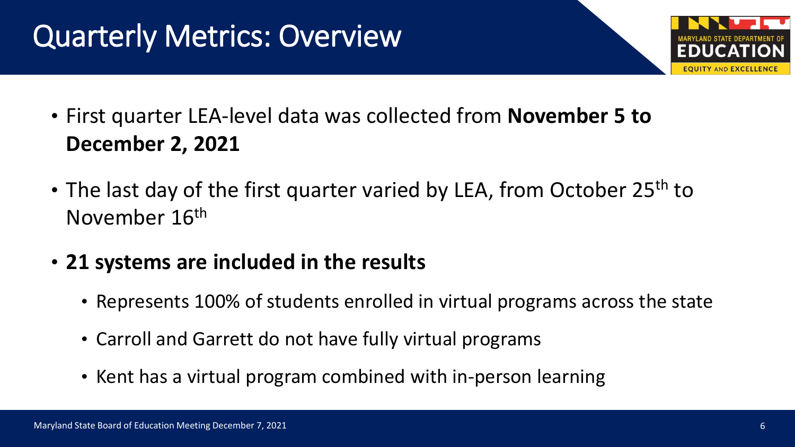### Quarterly Metrics: Overview



- First quarter LEA-level data was collected from **November 5 to December 2, 2021**
- The last day of the first quarter varied by LEA, from October 25<sup>th</sup> to November 16th
- **21 systems are included in the results**
	- Represents 100% of students enrolled in virtual programs across the state
	- Carroll and Garrett do not have fully virtual programs
	- Kent has a virtual program combined with in-person learning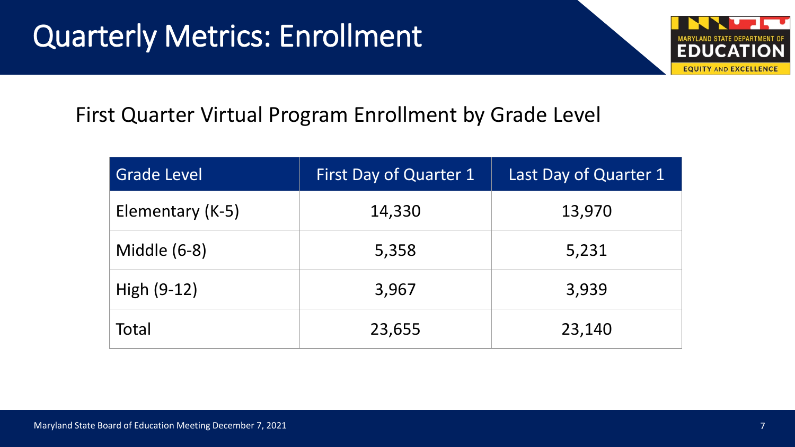

#### First Quarter Virtual Program Enrollment by Grade Level

| <b>Grade Level</b> | <b>First Day of Quarter 1</b> | Last Day of Quarter 1 |
|--------------------|-------------------------------|-----------------------|
| Elementary (K-5)   | 14,330                        | 13,970                |
| Middle (6-8)       | 5,358                         | 5,231                 |
| High $(9-12)$      | 3,967                         | 3,939                 |
| Total              | 23,655                        | 23,140                |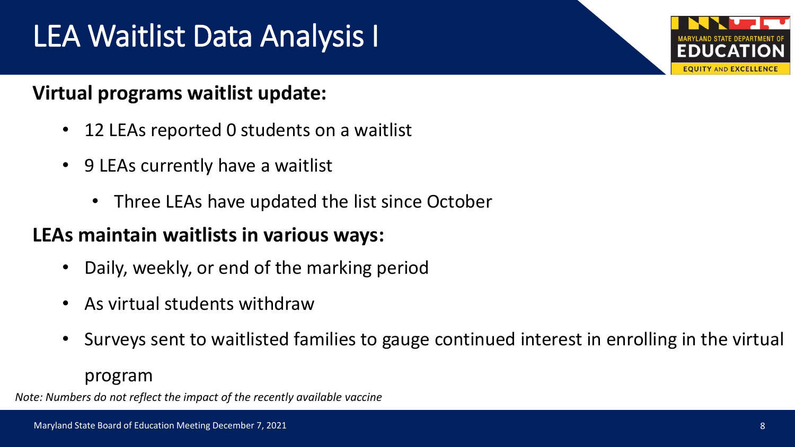# LEA Waitlist Data Analysis I

#### **Virtual programs waitlist update:**

- 12 LEAs reported 0 students on a waitlist
- 9 LEAs currently have a waitlist
	- Three LEAs have updated the list since October

#### **LEAs maintain waitlists in various ways:**

- Daily, weekly, or end of the marking period
- As virtual students withdraw
- Surveys sent to waitlisted families to gauge continued interest in enrolling in the virtual

program

*Note: Numbers do not reflect the impact of the recently available vaccine*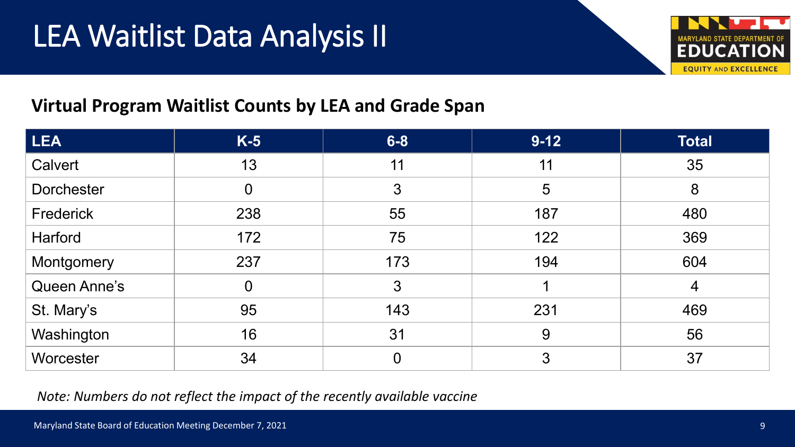

#### **Virtual Program Waitlist Counts by LEA and Grade Span**

| LEA               | $K-5$          | $6 - 8$        | $9 - 12$ | <b>Total</b>   |
|-------------------|----------------|----------------|----------|----------------|
| Calvert           | 13             | 11             | 11       | 35             |
| <b>Dorchester</b> | $\theta$       | 3              | 5        | 8              |
| Frederick         | 238            | 55             | 187      | 480            |
| Harford           | 172            | 75             | 122      | 369            |
| Montgomery        | 237            | 173            | 194      | 604            |
| Queen Anne's      | $\overline{0}$ | 3              |          | $\overline{4}$ |
| St. Mary's        | 95             | 143            | 231      | 469            |
| Washington        | 16             | 31             | 9        | 56             |
| Worcester         | 34             | $\overline{0}$ | 3        | 37             |

*Note: Numbers do not reflect the impact of the recently available vaccine*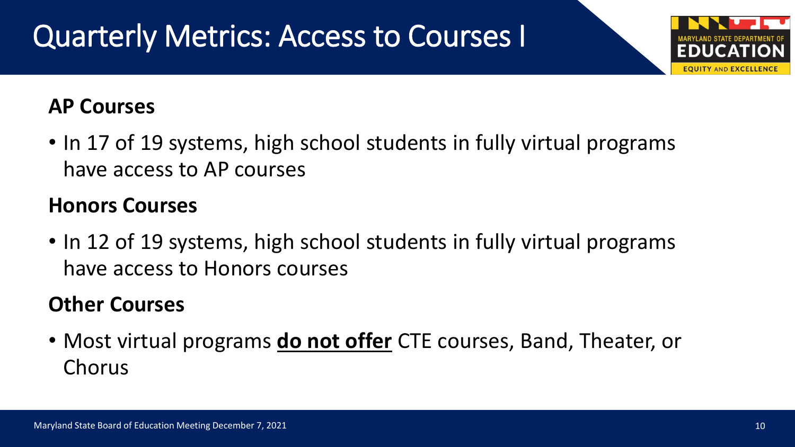# Quarterly Metrics: Access to Courses I

#### **AP Courses**

• In 17 of 19 systems, high school students in fully virtual programs have access to AP courses

#### **Honors Courses**

• In 12 of 19 systems, high school students in fully virtual programs have access to Honors courses

### **Other Courses**

• Most virtual programs **do not offer** CTE courses, Band, Theater, or Chorus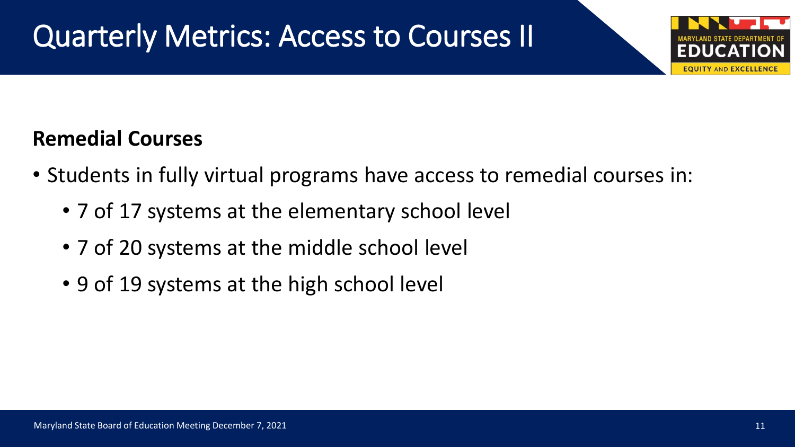### Quarterly Metrics: Access to Courses II

### **Remedial Courses**

- Students in fully virtual programs have access to remedial courses in:
	- 7 of 17 systems at the elementary school level
	- 7 of 20 systems at the middle school level
	- 9 of 19 systems at the high school level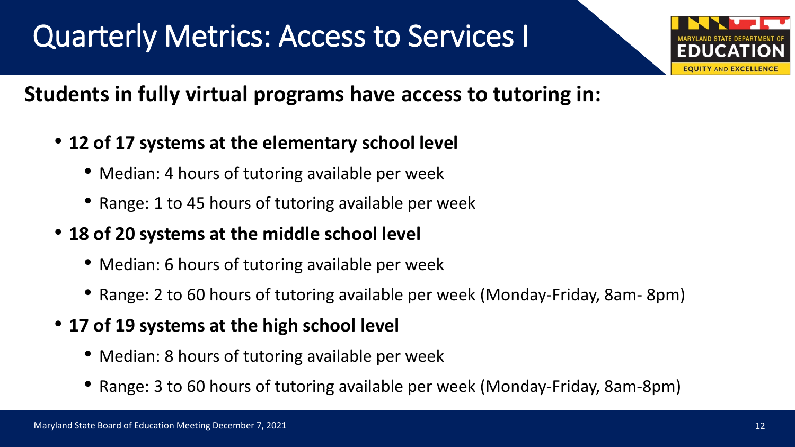### Quarterly Metrics: Access to Services I



### **Students in fully virtual programs have access to tutoring in:**

- **12 of 17 systems at the elementary school level**
	- Median: 4 hours of tutoring available per week
	- Range: 1 to 45 hours of tutoring available per week
- **18 of 20 systems at the middle school level**
	- Median: 6 hours of tutoring available per week
	- Range: 2 to 60 hours of tutoring available per week (Monday-Friday, 8am- 8pm)
- **17 of 19 systems at the high school level**
	- Median: 8 hours of tutoring available per week
	- Range: 3 to 60 hours of tutoring available per week (Monday-Friday, 8am-8pm)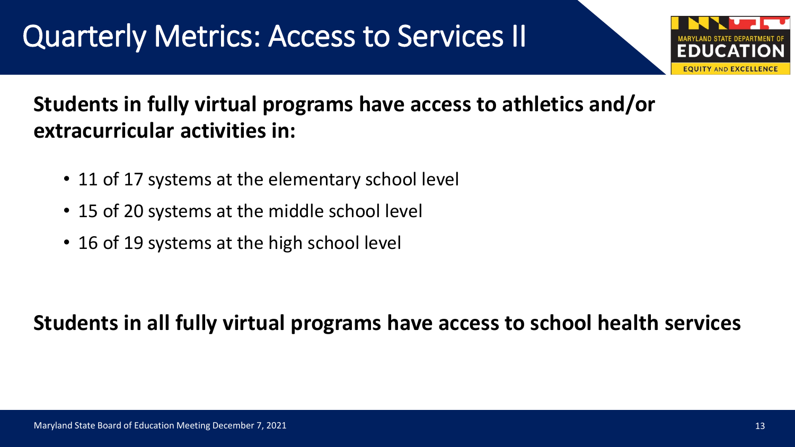### Quarterly Metrics: Access to Services II

# **EQUITY AND EXCELLENCE**

### **Students in fully virtual programs have access to athletics and/or extracurricular activities in:**

- 11 of 17 systems at the elementary school level
- 15 of 20 systems at the middle school level
- 16 of 19 systems at the high school level

### **Students in all fully virtual programs have access to school health services**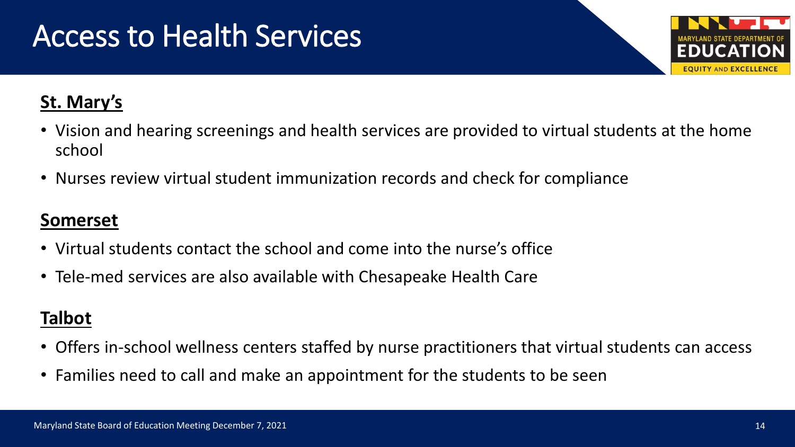### Access to Health Services



#### **St. Mary's**

- Vision and hearing screenings and health services are provided to virtual students at the home school
- Nurses review virtual student immunization records and check for compliance

#### **Somerset**

- Virtual students contact the school and come into the nurse's office
- Tele-med services are also available with Chesapeake Health Care

#### **Talbot**

- Offers in-school wellness centers staffed by nurse practitioners that virtual students can access
- Families need to call and make an appointment for the students to be seen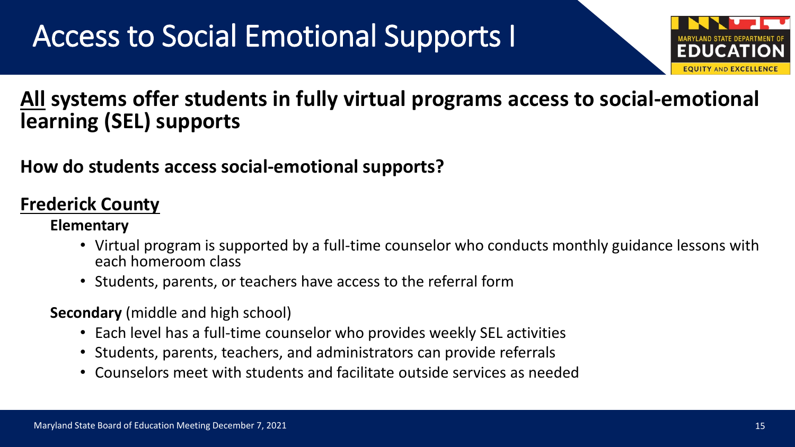# Access to Social Emotional Supports I



#### **All systems offer students in fully virtual programs access to social-emotional learning (SEL) supports**

#### **How do students access social-emotional supports?**

#### **Frederick County**

#### **Elementary**

- Virtual program is supported by a full-time counselor who conducts monthly guidance lessons with each homeroom class
- Students, parents, or teachers have access to the referral form
- **Secondary** (middle and high school)
	- Each level has a full-time counselor who provides weekly SEL activities
	- Students, parents, teachers, and administrators can provide referrals
	- Counselors meet with students and facilitate outside services as needed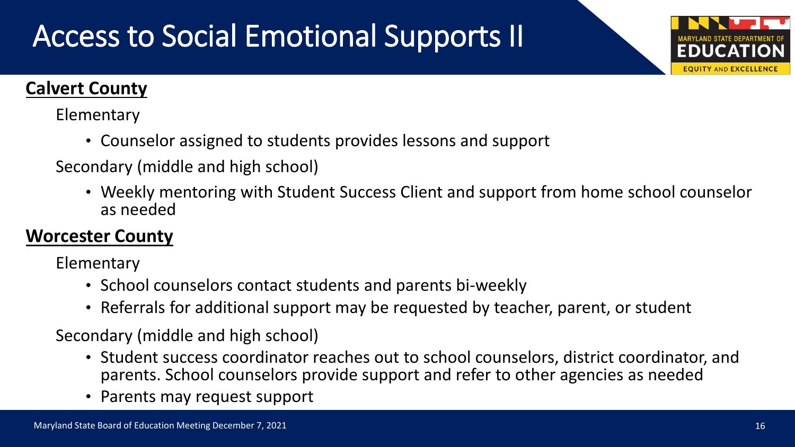# Access to Social Emotional Supports II

#### **Calvert County**

Elementary

• Counselor assigned to students provides lessons and support

Secondary (middle and high school)

• Weekly mentoring with Student Success Client and support from home school counselor as needed

#### **Worcester County**

Elementary

- School counselors contact students and parents bi-weekly
- Referrals for additional support may be requested by teacher, parent, or student

Secondary (middle and high school)

- Student success coordinator reaches out to school counselors, district coordinator, and parents. School counselors provide support and refer to other agencies as needed
- Parents may request support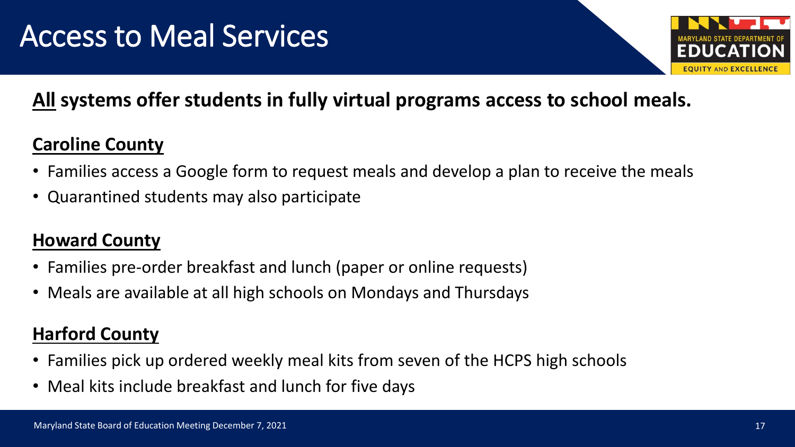

#### **All systems offer students in fully virtual programs access to school meals.**

#### **Caroline County**

- Families access a Google form to request meals and develop a plan to receive the meals
- Quarantined students may also participate

#### **Howard County**

- Families pre-order breakfast and lunch (paper or online requests)
- Meals are available at all high schools on Mondays and Thursdays

#### **Harford County**

- Families pick up ordered weekly meal kits from seven of the HCPS high schools
- Meal kits include breakfast and lunch for five days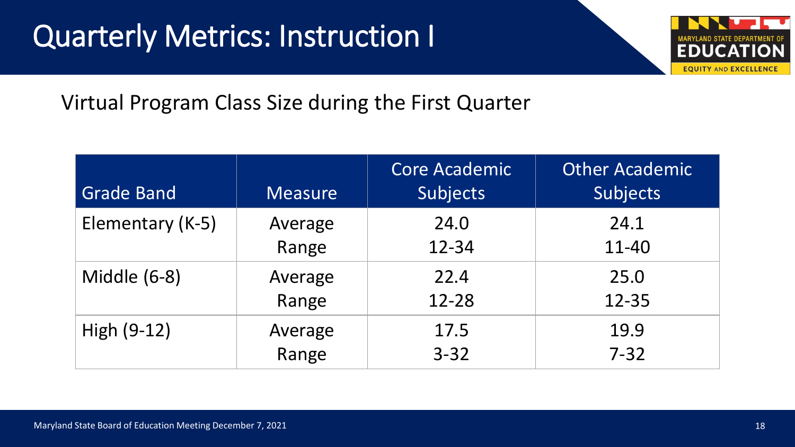### Quarterly Metrics: Instruction I



Virtual Program Class Size during the First Quarter

| <b>Grade Band</b>   | <b>Measure</b> | <b>Core Academic</b><br>Subjects | <b>Other Academic</b><br>Subjects |
|---------------------|----------------|----------------------------------|-----------------------------------|
| Elementary (K-5)    | Average        | 24.0                             | 24.1                              |
|                     | Range          | 12-34                            | 11-40                             |
| <b>Middle (6-8)</b> | Average        | 22.4                             | 25.0                              |
|                     | Range          | 12-28                            | 12-35                             |
| High $(9-12)$       | Average        | 17.5                             | 19.9                              |
|                     | Range          | $3 - 32$                         | $7 - 32$                          |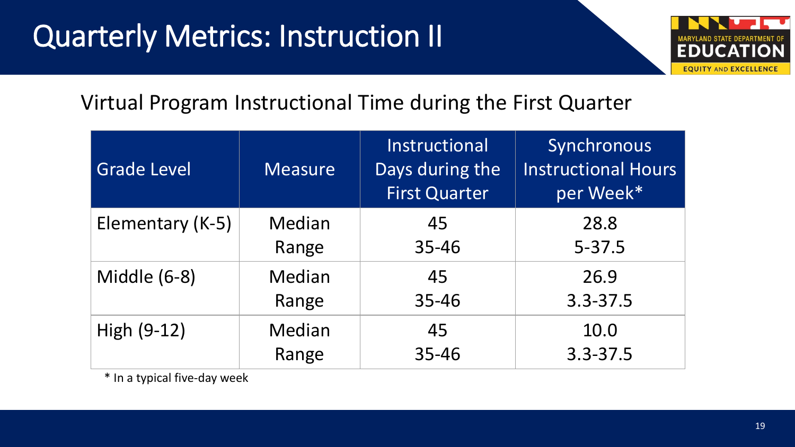# **Quarterly Metrics: Instruction II**



#### Virtual Program Instructional Time during the First Quarter

| <b>Grade Level</b>  | <b>Measure</b> | Instructional<br>Days during the<br><b>First Quarter</b> | Synchronous<br><b>Instructional Hours</b><br>per Week* |
|---------------------|----------------|----------------------------------------------------------|--------------------------------------------------------|
| Elementary (K-5)    | Median         | 45                                                       | 28.8                                                   |
|                     | Range          | 35-46                                                    | $5 - 37.5$                                             |
| <b>Middle (6-8)</b> | Median         | 45                                                       | 26.9                                                   |
|                     | Range          | 35-46                                                    | $3.3 - 37.5$                                           |
| High (9-12)         | Median         | 45                                                       | 10.0                                                   |
|                     | Range          | 35-46                                                    | $3.3 - 37.5$                                           |

\* In a typical five-day week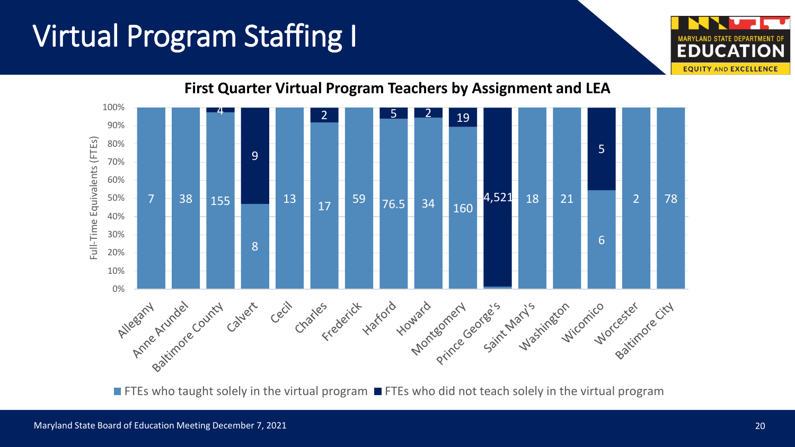# Virtual Program Staffing I





**First Quarter Virtual Program Teachers by Assignment and LEA**

**FIFES who taught solely in the virtual program**  $\blacksquare$  **FTEs who did not teach solely in the virtual program**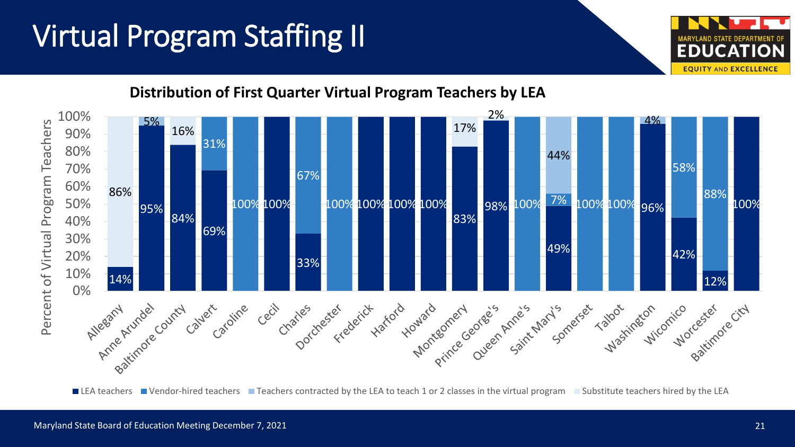## Virtual Program Staffing II



■ LEA teachers ■ Vendor-hired teachers ■ Teachers contracted by the LEA to teach 1 or 2 classes in the virtual program ■ Substitute teachers hired by the LEA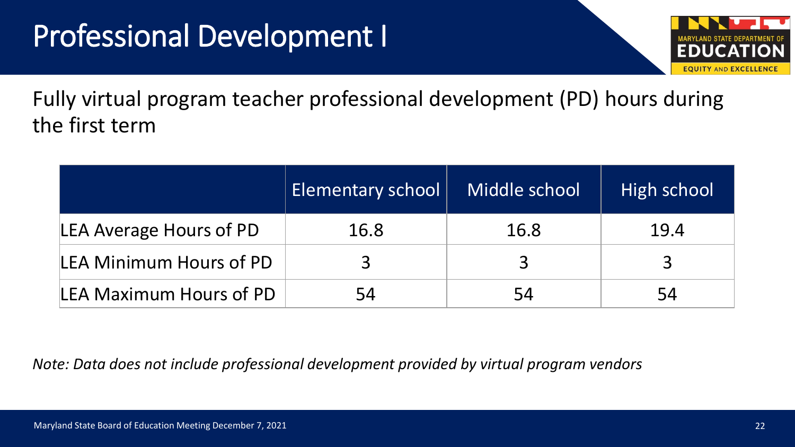### Professional Development I



Fully virtual program teacher professional development (PD) hours during the first term

|                                | <b>Elementary school</b> | Middle school | High school  |
|--------------------------------|--------------------------|---------------|--------------|
| <b>LEA Average Hours of PD</b> | 16.8                     | 16.8          | 19.4         |
| LEA Minimum Hours of PD        |                          | $\mathbf{R}$  | $\mathbf{R}$ |
| <b>LEA Maximum Hours of PD</b> | 54                       | 54            | 54           |

*Note: Data does not include professional development provided by virtual program vendors*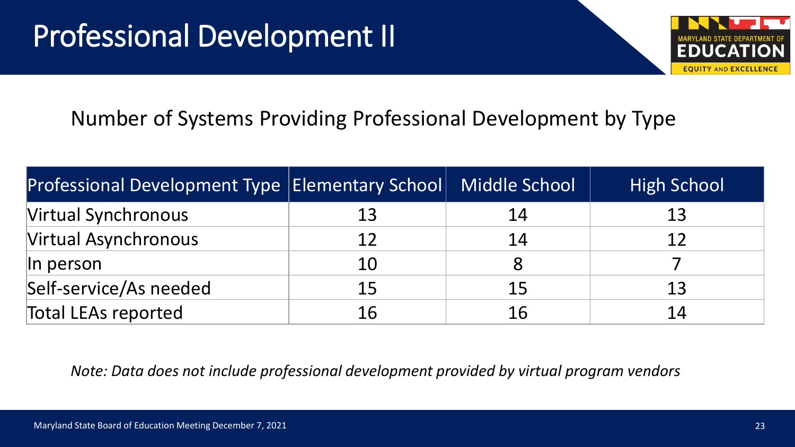

### Number of Systems Providing Professional Development by Type

| Professional Development Type   Elementary School   Middle School |    |    | <b>High School</b> |
|-------------------------------------------------------------------|----|----|--------------------|
| <b>Virtual Synchronous</b>                                        | 13 | 14 | 13                 |
| Virtual Asynchronous                                              | 12 | 14 | 12                 |
| $\ln$ person                                                      | 10 |    |                    |
| Self-service/As needed                                            | 15 | 15 | 13                 |
| <b>Total LEAs reported</b>                                        | 16 | 16 | 14                 |

*Note: Data does not include professional development provided by virtual program vendors*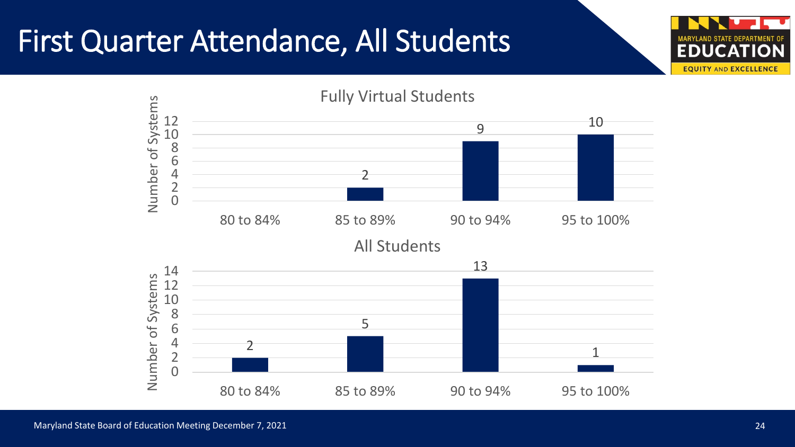### First Quarter Attendance, All Students

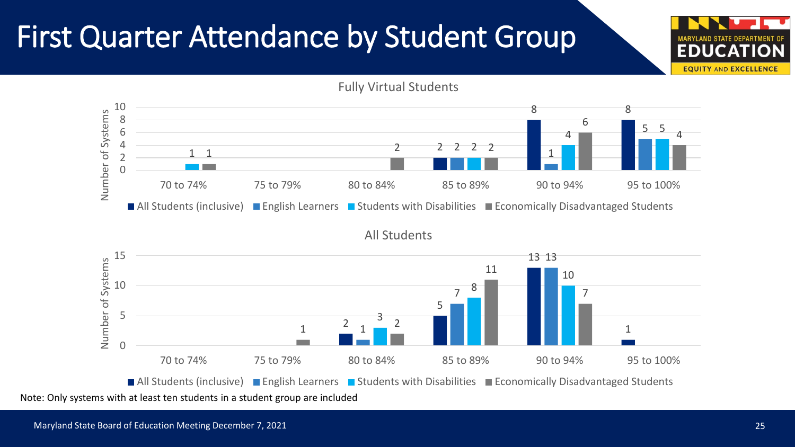### First Quarter Attendance by Student Group



Note: Only systems with at least ten students in a student group are included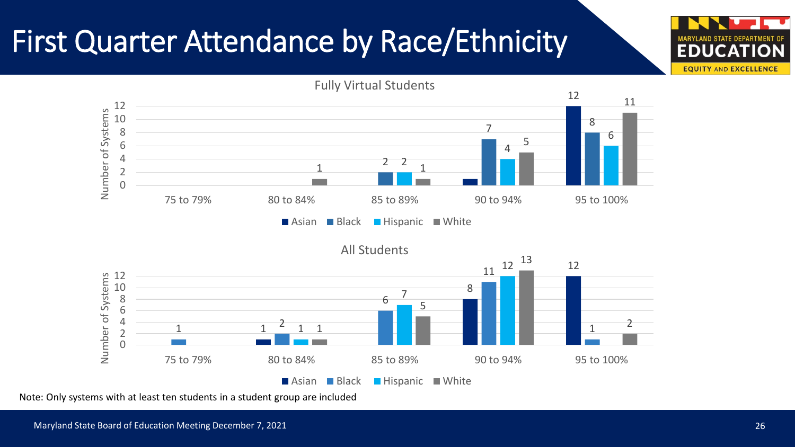### First Quarter Attendance by Race/Ethnicity



Note: Only systems with at least ten students in a student group are included.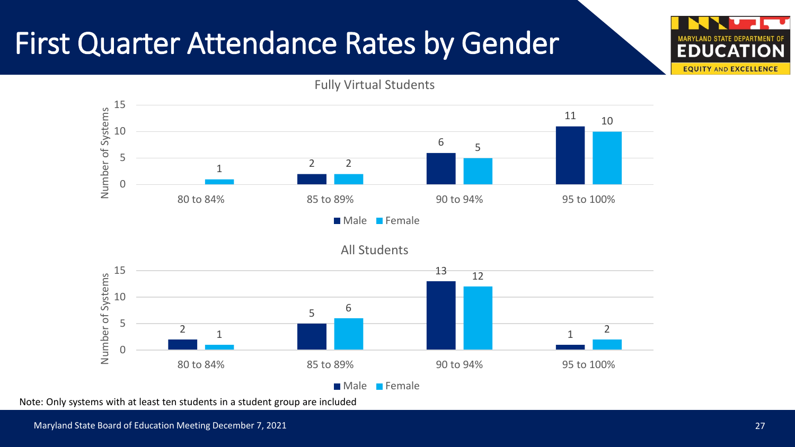### First Quarter Attendance Rates by Gender



Note: Only systems with at least ten students in a student group are included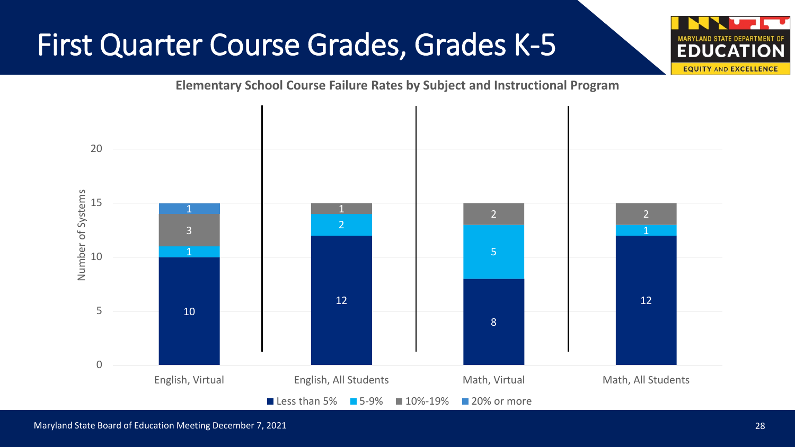### First Quarter Course Grades, Grades K-5



**Elementary School Course Failure Rates by Subject and Instructional Program**

Maryland State Board of Education Meeting December 7, 2021 28 and 2012 28 and 28 and 28 and 28 and 28 and 28 and 28 and 28 and 28 and 28 and 28 and 28 and 28 and 28 and 28 and 28 and 28 and 28 and 28 and 28 and 28 and 28 a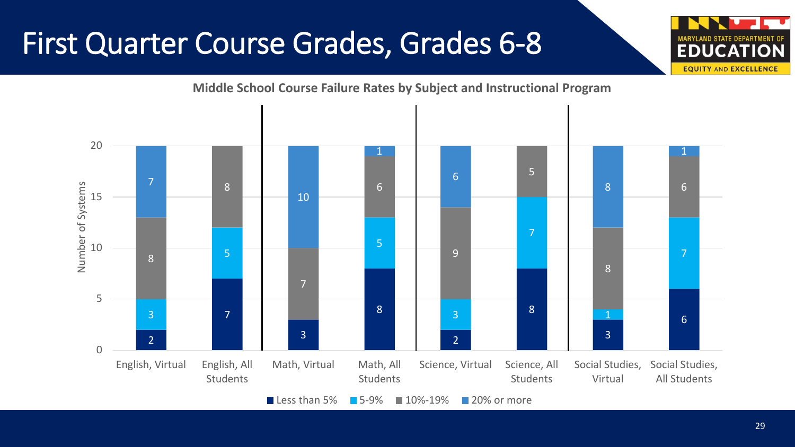### First Quarter Course Grades, Grades 6-8

#### 20 1 1 5 6 та в последните при отглещата в общественността на селото на селото на селото на селото на селото на селото на<br>В 1910 година от 1910 година от 1910 година от 1910 година от 1910 година от 1910 година от 1910 година от 191 Number of Systems 8 Number of Systems 6 8 15 10 7 5 10 8 a - Romând Amerikaansk ferheims (\* 1915)<br>19 - Paul Steffen, Amerikaansk ferheims (\* 1915)<br>19 - Paul Steffen, Amerikaansk ferheims (\* 1915) 5 9 8 7 5 8 8 3 2 3 3 3 3 4 5 6 7 3 1 3 3 2 2  $\Omega$ English, Virtual English, All Math, Virtual Math, All Science, Virtual Science, All Social Studies, Social Studies, Students Students Virtual All Students Students **■ Less than 5% ■ 5-9% ■ 10%-19% ■ 20% or more**

#### **Middle School Course Failure Rates by Subject and Instructional Program**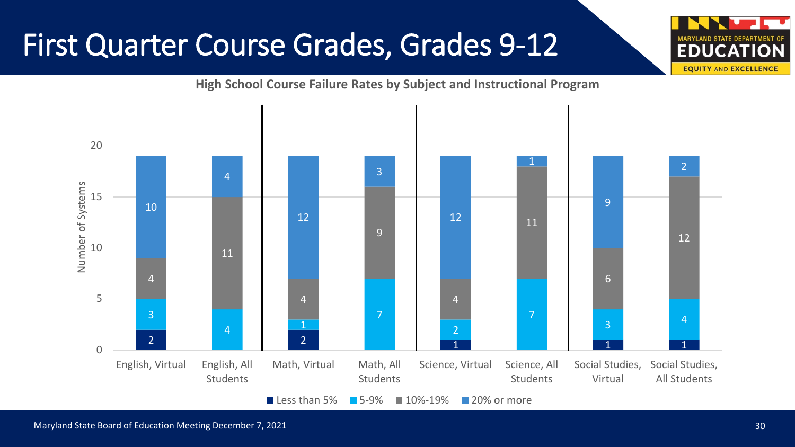### First Quarter Course Grades, Grades 9-12